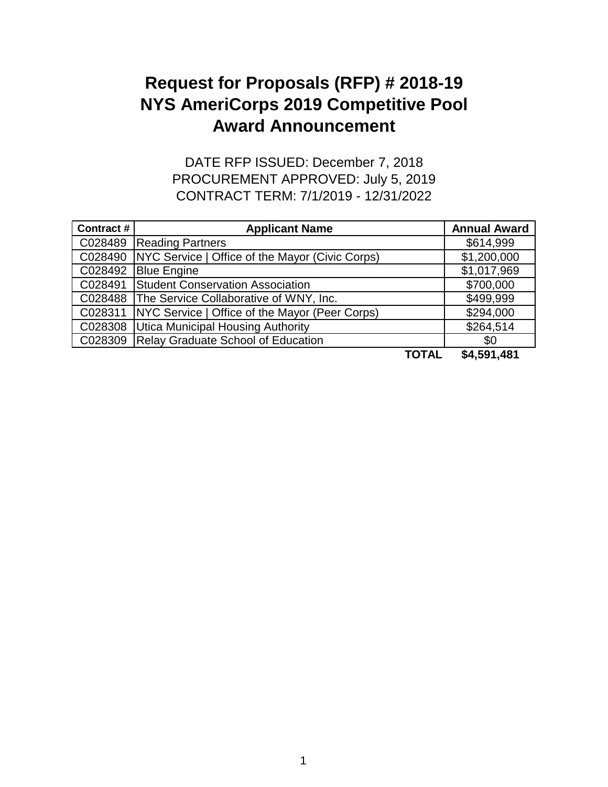## **Award Announcement Request for Proposals (RFP) # 2018-19 NYS AmeriCorps 2019 Competitive Pool**

CONTRACT TERM: 7/1/2019 - 12/31/2022 DATE RFP ISSUED: December 7, 2018 PROCUREMENT APPROVED: July 5, 2019

| Contract # | <b>Applicant Name</b>                           | <b>Annual Award</b> |
|------------|-------------------------------------------------|---------------------|
| C028489    | <b>Reading Partners</b>                         | \$614,999           |
| C028490    | NYC Service   Office of the Mayor (Civic Corps) | \$1,200,000         |
| C028492    | <b>Blue Engine</b>                              | \$1,017,969         |
| C028491    | <b>Student Conservation Association</b>         | \$700,000           |
| C028488    | The Service Collaborative of WNY, Inc.          | \$499,999           |
| C028311    | NYC Service   Office of the Mayor (Peer Corps)  | \$294,000           |
| C028308    | <b>Utica Municipal Housing Authority</b>        | \$264,514           |
| C028309    | <b>Relay Graduate School of Education</b>       | \$0                 |
|            | TOTAL                                           | \$4,591,481         |

1